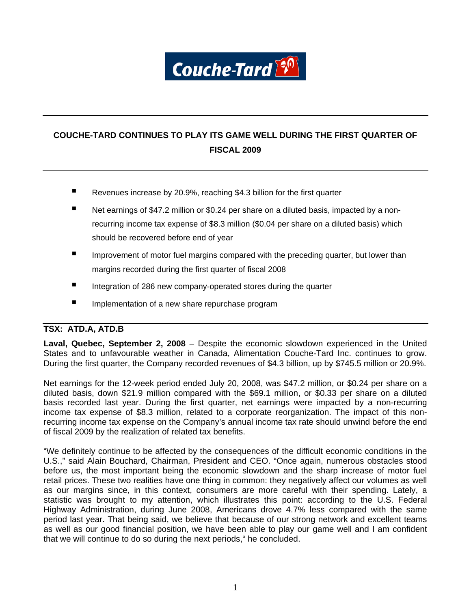

# **COUCHE-TARD CONTINUES TO PLAY ITS GAME WELL DURING THE FIRST QUARTER OF FISCAL 2009**

- Revenues increase by 20.9%, reaching \$4.3 billion for the first quarter
- Net earnings of \$47.2 million or \$0.24 per share on a diluted basis, impacted by a nonrecurring income tax expense of \$8.3 million (\$0.04 per share on a diluted basis) which should be recovered before end of year
- **IMP** Improvement of motor fuel margins compared with the preceding quarter, but lower than margins recorded during the first quarter of fiscal 2008
- **Integration of 286 new company-operated stores during the quarter**
- Implementation of a new share repurchase program

## **TSX: ATD.A, ATD.B**

**Laval, Quebec, September 2, 2008** – Despite the economic slowdown experienced in the United States and to unfavourable weather in Canada, Alimentation Couche-Tard Inc. continues to grow. During the first quarter, the Company recorded revenues of \$4.3 billion, up by \$745.5 million or 20.9%.

Net earnings for the 12-week period ended July 20, 2008, was \$47.2 million, or \$0.24 per share on a diluted basis, down \$21.9 million compared with the \$69.1 million, or \$0.33 per share on a diluted basis recorded last year. During the first quarter, net earnings were impacted by a non-recurring income tax expense of \$8.3 million, related to a corporate reorganization. The impact of this nonrecurring income tax expense on the Company's annual income tax rate should unwind before the end of fiscal 2009 by the realization of related tax benefits.

"We definitely continue to be affected by the consequences of the difficult economic conditions in the U.S.," said Alain Bouchard, Chairman, President and CEO. "Once again, numerous obstacles stood before us, the most important being the economic slowdown and the sharp increase of motor fuel retail prices. These two realities have one thing in common: they negatively affect our volumes as well as our margins since, in this context, consumers are more careful with their spending. Lately, a statistic was brought to my attention, which illustrates this point: according to the U.S. Federal Highway Administration, during June 2008, Americans drove 4.7% less compared with the same period last year. That being said, we believe that because of our strong network and excellent teams as well as our good financial position, we have been able to play our game well and I am confident that we will continue to do so during the next periods," he concluded.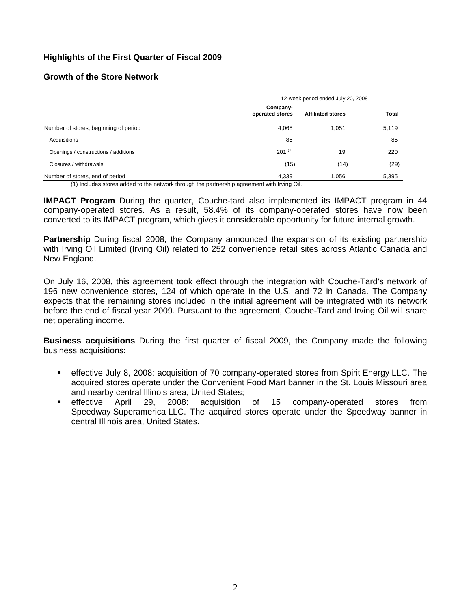## **Highlights of the First Quarter of Fiscal 2009**

## **Growth of the Store Network**

|                                       |                             | 12-week period ended July 20, 2008 |       |  |  |
|---------------------------------------|-----------------------------|------------------------------------|-------|--|--|
|                                       | Company-<br>operated stores | <b>Affiliated stores</b>           | Total |  |  |
| Number of stores, beginning of period | 4,068                       | 1,051                              | 5,119 |  |  |
| Acquisitions                          | 85                          |                                    | 85    |  |  |
| Openings / constructions / additions  | $201^{(1)}$                 | 19                                 | 220   |  |  |
| Closures / withdrawals                | (15)                        | (14)                               | (29)  |  |  |
| Number of stores, end of period       | 4,339                       | 1,056                              | 5,395 |  |  |

(1) Includes stores added to the network through the partnership agreement with Irving Oil.

**IMPACT Program** During the quarter, Couche-tard also implemented its IMPACT program in 44 company-operated stores. As a result, 58.4% of its company-operated stores have now been converted to its IMPACT program, which gives it considerable opportunity for future internal growth.

**Partnership** During fiscal 2008, the Company announced the expansion of its existing partnership with Irving Oil Limited (Irving Oil) related to 252 convenience retail sites across Atlantic Canada and New England.

On July 16, 2008, this agreement took effect through the integration with Couche-Tard's network of 196 new convenience stores, 124 of which operate in the U.S. and 72 in Canada. The Company expects that the remaining stores included in the initial agreement will be integrated with its network before the end of fiscal year 2009. Pursuant to the agreement, Couche-Tard and Irving Oil will share net operating income.

**Business acquisitions** During the first quarter of fiscal 2009, the Company made the following business acquisitions:

- effective July 8, 2008: acquisition of 70 company-operated stores from Spirit Energy LLC. The acquired stores operate under the Convenient Food Mart banner in the St. Louis Missouri area and nearby central Illinois area, United States;
- effective April 29, 2008: acquisition of 15 company-operated stores from Speedway Superamerica LLC. The acquired stores operate under the Speedway banner in central Illinois area, United States.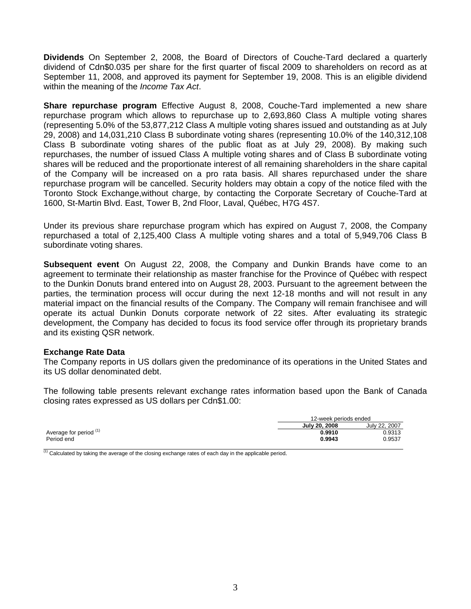**Dividends** On September 2, 2008, the Board of Directors of Couche-Tard declared a quarterly dividend of Cdn\$0.035 per share for the first quarter of fiscal 2009 to shareholders on record as at September 11, 2008, and approved its payment for September 19, 2008. This is an eligible dividend within the meaning of the *Income Tax Act*.

**Share repurchase program** Effective August 8, 2008, Couche-Tard implemented a new share repurchase program which allows to repurchase up to 2,693,860 Class A multiple voting shares (representing 5.0% of the 53,877,212 Class A multiple voting shares issued and outstanding as at July 29, 2008) and 14,031,210 Class B subordinate voting shares (representing 10.0% of the 140,312,108 Class B subordinate voting shares of the public float as at July 29, 2008). By making such repurchases, the number of issued Class A multiple voting shares and of Class B subordinate voting shares will be reduced and the proportionate interest of all remaining shareholders in the share capital of the Company will be increased on a pro rata basis. All shares repurchased under the share repurchase program will be cancelled. Security holders may obtain a copy of the notice filed with the Toronto Stock Exchange,without charge, by contacting the Corporate Secretary of Couche-Tard at 1600, St-Martin Blvd. East, Tower B, 2nd Floor, Laval, Québec, H7G 4S7.

Under its previous share repurchase program which has expired on August 7, 2008, the Company repurchased a total of 2,125,400 Class A multiple voting shares and a total of 5,949,706 Class B subordinate voting shares.

**Subsequent event** On August 22, 2008, the Company and Dunkin Brands have come to an agreement to terminate their relationship as master franchise for the Province of Québec with respect to the Dunkin Donuts brand entered into on August 28, 2003. Pursuant to the agreement between the parties, the termination process will occur during the next 12-18 months and will not result in any material impact on the financial results of the Company. The Company will remain franchisee and will operate its actual Dunkin Donuts corporate network of 22 sites. After evaluating its strategic development, the Company has decided to focus its food service offer through its proprietary brands and its existing QSR network.

## **Exchange Rate Data**

The Company reports in US dollars given the predominance of its operations in the United States and its US dollar denominated debt.

The following table presents relevant exchange rates information based upon the Bank of Canada closing rates expressed as US dollars per Cdn\$1.00:

|                        |               | 12-week periods ended |  |
|------------------------|---------------|-----------------------|--|
|                        | July 20, 2008 | July 22, 2007         |  |
| Average for period (1) | 0.9910        | 0.9313                |  |
| Period end             | 0.9943        | 0.9537                |  |

 $\frac{(1)}{(1)}$  Calculated by taking the average of the closing exchange rates of each day in the applicable period.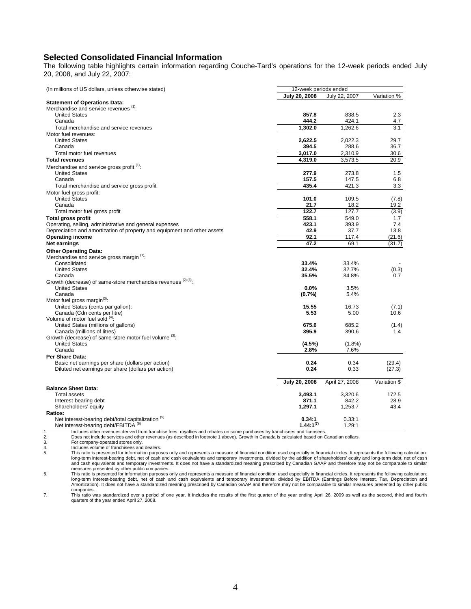## **Selected Consolidated Financial Information**

The following table highlights certain information regarding Couche-Tard's operations for the 12-week periods ended July 20, 2008, and July 22, 2007:

| (In millions of US dollars, unless otherwise stated)                                                                                | 12-week periods ended |                |              |
|-------------------------------------------------------------------------------------------------------------------------------------|-----------------------|----------------|--------------|
|                                                                                                                                     | July 20, 2008         | July 22, 2007  | Variation %  |
| <b>Statement of Operations Data:</b>                                                                                                |                       |                |              |
| Merchandise and service revenues (1):                                                                                               |                       |                |              |
| <b>United States</b>                                                                                                                | 857.8                 | 838.5          | 2.3          |
| Canada                                                                                                                              | 444.2                 | 424.1          | 4.7          |
| Total merchandise and service revenues                                                                                              | 1,302.0               | 1,262.6        | 3.1          |
| Motor fuel revenues:                                                                                                                |                       |                |              |
| <b>United States</b>                                                                                                                | 2,622.5               | 2,022.3        | 29.7         |
| Canada                                                                                                                              | 394.5                 | 288.6          | 36.7         |
| Total motor fuel revenues                                                                                                           | 3,017.0               | 2,310.9        | 30.6         |
| <b>Total revenues</b>                                                                                                               | 4,319.0               | 3,573.5        | 20.9         |
| Merchandise and service gross profit <sup>(1)</sup> :                                                                               |                       |                |              |
| <b>United States</b>                                                                                                                | 277.9                 | 273.8          | 1.5          |
| Canada                                                                                                                              | 157.5                 | 147.5          | 6.8          |
| Total merchandise and service gross profit                                                                                          | 435.4                 | 421.3          | 3.3          |
| Motor fuel gross profit:                                                                                                            |                       |                |              |
| <b>United States</b>                                                                                                                | 101.0                 | 109.5          | (7.8)        |
| Canada                                                                                                                              | 21.7                  | 18.2           | 19.2         |
| Total motor fuel gross profit                                                                                                       | 122.7                 | 127.7          | (3.9)        |
| <b>Total gross profit</b>                                                                                                           | 558.1                 | 549.0          | 1.7          |
|                                                                                                                                     | 423.1                 | 393.9          | 7.4          |
| Operating, selling, administrative and general expenses<br>Depreciation and amortization of property and equipment and other assets | 42.9                  | 37.7           | 13.8         |
|                                                                                                                                     | 92.1                  | 117.4          |              |
| <b>Operating income</b>                                                                                                             |                       |                | (21.6)       |
| Net earnings                                                                                                                        | 47.2                  | 69.1           | (31.7)       |
| <b>Other Operating Data:</b>                                                                                                        |                       |                |              |
| Merchandise and service gross margin (1):                                                                                           |                       |                |              |
| Consolidated                                                                                                                        | 33.4%                 | 33.4%          |              |
| <b>United States</b>                                                                                                                | 32.4%                 | 32.7%          | (0.3)        |
| Canada                                                                                                                              | 35.5%                 | 34.8%          | 0.7          |
| Growth (decrease) of same-store merchandise revenues (2) (3).                                                                       |                       |                |              |
| <b>United States</b>                                                                                                                | 0.0%                  | 3.5%           |              |
| Canada                                                                                                                              | (0.7%)                | 5.4%           |              |
| Motor fuel gross margin(3):                                                                                                         |                       |                |              |
| United States (cents par gallon):                                                                                                   | 15.55                 | 16.73          | (7.1)        |
| Canada (Cdn cents per litre)                                                                                                        | 5.53                  | 5.00           | 10.6         |
| Volume of motor fuel sold (4):                                                                                                      |                       |                |              |
| United States (millions of gallons)                                                                                                 | 675.6                 | 685.2          | (1.4)        |
| Canada (millions of litres)                                                                                                         | 395.9                 | 390.6          | 1.4          |
| Growth (decrease) of same-store motor fuel volume (3):                                                                              |                       |                |              |
| <b>United States</b>                                                                                                                | (4.5%)                | $(1.8\%)$      |              |
| Canada                                                                                                                              | 2.8%                  | 7.6%           |              |
| Per Share Data:                                                                                                                     |                       |                |              |
| Basic net earnings per share (dollars per action)                                                                                   | 0.24                  | 0.34           | (29.4)       |
| Diluted net earnings per share (dollars per action)                                                                                 | 0.24                  | 0.33           | (27.3)       |
|                                                                                                                                     |                       |                |              |
|                                                                                                                                     | July 20, 2008         | April 27, 2008 | Variation \$ |
| <b>Balance Sheet Data:</b>                                                                                                          |                       |                |              |
| <b>Total assets</b>                                                                                                                 | 3.493.1               | 3.320.6        | 172.5        |
| Interest-bearing debt                                                                                                               | 871.1                 | 842.2          | 28.9         |
| Shareholders' equity                                                                                                                | 1,297.1               | 1,253.7        | 43.4         |
| Ratios:                                                                                                                             |                       |                |              |
| Net interest-bearing debt/total capitalization (5)                                                                                  | 0.34:1                | 0.33:1         |              |
| Net interest-bearing debt/EBITDA <sup>(6)</sup>                                                                                     | $1.44:1^{(7)}$        | 1.29:1         |              |

1. Includes other revenues derived from franchise fees, royalties and rebates on some purchases by franchisees and licensees.<br>2. Does not include services and other revenues (as described in footnote 1 abov

4. Includes volume of franchisees and dealers.

3. For company-operated stores only.<br>4. Includes volume of franchisees and<br>5. This ratio is presented for informati 5. This ratio is presented for information purposes only and represents a measure of financial condition used especially in financial circles. It represents the following calculation: long-term interest-bearing debt, net of cash and cash equivalents and temporary investments, divided by the addition of shareholders' equity and long-term debt, net of cash<br>and cash equivalents and temporary investments. I measures presented by other public companies.

6. This ratio is presented for information purposes only and represents a measure of financial condition used especially in financial circles. It represents the following calculation:<br>Iong-term interest-bearing debt, net o companies.

7. This ratio was standardized over a period of one year. It includes the results of the first quarter of the year ending April 26, 2009 as well as the second, third and fourth quarters of the year ended April 27, 2008.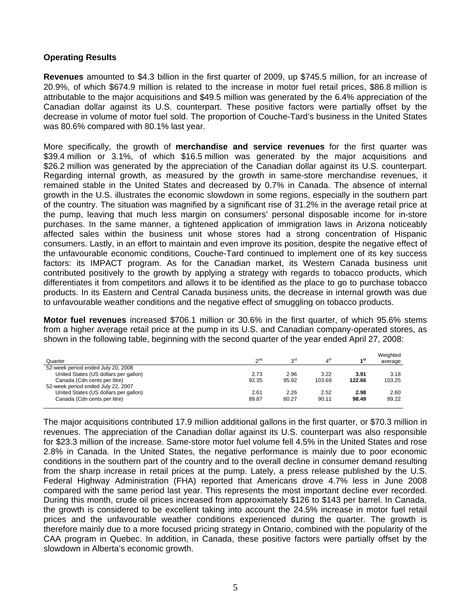## **Operating Results**

**Revenues** amounted to \$4.3 billion in the first quarter of 2009, up \$745.5 million, for an increase of 20.9%, of which \$674.9 million is related to the increase in motor fuel retail prices, \$86.8 million is attributable to the major acquisitions and \$49.5 million was generated by the 6.4% appreciation of the Canadian dollar against its U.S. counterpart. These positive factors were partially offset by the decrease in volume of motor fuel sold. The proportion of Couche-Tard's business in the United States was 80.6% compared with 80.1% last year.

More specifically, the growth of **merchandise and service revenues** for the first quarter was \$39.4 million or 3.1%, of which \$16.5 million was generated by the major acquisitions and \$26.2 million was generated by the appreciation of the Canadian dollar against its U.S. counterpart. Regarding internal growth, as measured by the growth in same-store merchandise revenues, it remained stable in the United States and decreased by 0.7% in Canada. The absence of internal growth in the U.S. illustrates the economic slowdown in some regions, especially in the southern part of the country. The situation was magnified by a significant rise of 31.2% in the average retail price at the pump, leaving that much less margin on consumers' personal disposable income for in-store purchases. In the same manner, a tightened application of immigration laws in Arizona noticeably affected sales within the business unit whose stores had a strong concentration of Hispanic consumers. Lastly, in an effort to maintain and even improve its position, despite the negative effect of the unfavourable economic conditions, Couche-Tard continued to implement one of its key success factors: its IMPACT program. As for the Canadian market, its Western Canada business unit contributed positively to the growth by applying a strategy with regards to tobacco products, which differentiates it from competitors and allows it to be identified as the place to go to purchase tobacco products. In its Eastern and Central Canada business units, the decrease in internal growth was due to unfavourable weather conditions and the negative effect of smuggling on tobacco products.

**Motor fuel revenues** increased \$706.1 million or 30.6% in the first quarter, of which 95.6% stems from a higher average retail price at the pump in its U.S. and Canadian company-operated stores, as shown in the following table, beginning with the second quarter of the year ended April 27, 2008:

| Quarter                               | n <sup>nd</sup> | rdي   |        | 4 <sup>st</sup> | Weighted<br>average |
|---------------------------------------|-----------------|-------|--------|-----------------|---------------------|
| 52-week period ended July 20, 2008    |                 |       |        |                 |                     |
| United States (US dollars per gallon) | 2.73            | 2.96  | 3.22   | 3.91            | 3.18                |
| Canada (Cdn cents per litre)          | 92.35           | 95.92 | 103.69 | 122.66          | 103.25              |
| 52-week period ended July 22, 2007    |                 |       |        |                 |                     |
| United States (US dollars per gallon) | 2.61            | 2.26  | 2.52   | 2.98            | 2.60                |
| Canada (Cdn cents per litre)          | 89.87           | 80.27 | 90.11  | 98.49           | 89.22               |

The major acquisitions contributed 17.9 million additional gallons in the first quarter, or \$70.3 million in revenues. The appreciation of the Canadian dollar against its U.S. counterpart was also responsible for \$23.3 million of the increase. Same-store motor fuel volume fell 4.5% in the United States and rose 2.8% in Canada. In the United States, the negative performance is mainly due to poor economic conditions in the southern part of the country and to the overall decline in consumer demand resulting from the sharp increase in retail prices at the pump. Lately, a press release published by the U.S. Federal Highway Administration (FHA) reported that Americans drove 4.7% less in June 2008 compared with the same period last year. This represents the most important decline ever recorded. During this month, crude oil prices increased from approximately \$126 to \$143 per barrel. In Canada, the growth is considered to be excellent taking into account the 24.5% increase in motor fuel retail prices and the unfavourable weather conditions experienced during the quarter. The growth is therefore mainly due to a more focused pricing strategy in Ontario, combined with the popularity of the CAA program in Quebec. In addition, in Canada, these positive factors were partially offset by the slowdown in Alberta's economic growth.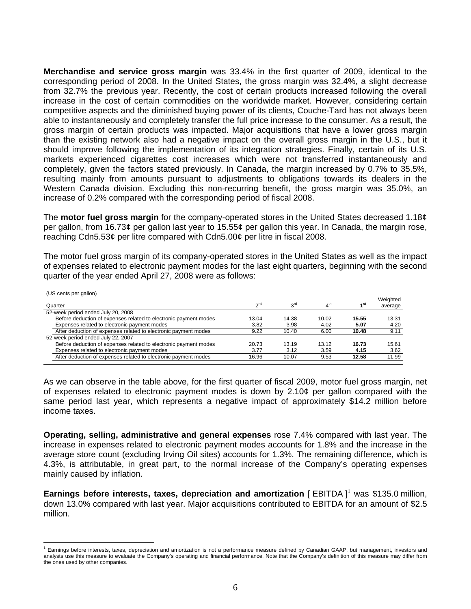**Merchandise and service gross margin** was 33.4% in the first quarter of 2009, identical to the corresponding period of 2008. In the United States, the gross margin was 32.4%, a slight decrease from 32.7% the previous year. Recently, the cost of certain products increased following the overall increase in the cost of certain commodities on the worldwide market. However, considering certain competitive aspects and the diminished buying power of its clients, Couche-Tard has not always been able to instantaneously and completely transfer the full price increase to the consumer. As a result, the gross margin of certain products was impacted. Major acquisitions that have a lower gross margin than the existing network also had a negative impact on the overall gross margin in the U.S., but it should improve following the implementation of its integration strategies. Finally, certain of its U.S. markets experienced cigarettes cost increases which were not transferred instantaneously and completely, given the factors stated previously. In Canada, the margin increased by 0.7% to 35.5%, resulting mainly from amounts pursuant to adjustments to obligations towards its dealers in the Western Canada division. Excluding this non-recurring benefit, the gross margin was 35.0%, an increase of 0.2% compared with the corresponding period of fiscal 2008.

The **motor fuel gross margin** for the company-operated stores in the United States decreased 1.18¢ per gallon, from 16.73¢ per gallon last year to 15.55¢ per gallon this year. In Canada, the margin rose, reaching Cdn5.53¢ per litre compared with Cdn5.00¢ per litre in fiscal 2008.

The motor fuel gross margin of its company-operated stores in the United States as well as the impact of expenses related to electronic payment modes for the last eight quarters, beginning with the second quarter of the year ended April 27, 2008 were as follows:

| (US cents per gallon)<br>Quarter                                 | 2 <sub>nd</sub> | 3 <sup>rd</sup> | 4 <sup>th</sup> | 4 <sup>st</sup> | Weighted<br>average |
|------------------------------------------------------------------|-----------------|-----------------|-----------------|-----------------|---------------------|
| 52-week period ended July 20, 2008                               |                 |                 |                 |                 |                     |
| Before deduction of expenses related to electronic payment modes | 13.04           | 14.38           | 10.02           | 15.55           | 13.31               |
| Expenses related to electronic payment modes                     | 3.82            | 3.98            | 4.02            | 5.07            | 4.20                |
| After deduction of expenses related to electronic payment modes  | 9.22            | 10.40           | 6.00            | 10.48           | 9.11                |
| 52-week period ended July 22, 2007                               |                 |                 |                 |                 |                     |
| Before deduction of expenses related to electronic payment modes | 20.73           | 13.19           | 13.12           | 16.73           | 15.61               |
| Expenses related to electronic payment modes                     | 3.77            | 3.12            | 3.59            | 4.15            | 3.62                |
| After deduction of expenses related to electronic payment modes  | 16.96           | 10.07           | 9.53            | 12.58           | 11.99               |

As we can observe in the table above, for the first quarter of fiscal 2009, motor fuel gross margin, net of expenses related to electronic payment modes is down by 2.10¢ per gallon compared with the same period last year, which represents a negative impact of approximately \$14.2 million before income taxes.

**Operating, selling, administrative and general expenses** rose 7.4% compared with last year. The increase in expenses related to electronic payment modes accounts for 1.8% and the increase in the average store count (excluding Irving Oil sites) accounts for 1.3%. The remaining difference, which is 4.3%, is attributable, in great part, to the normal increase of the Company's operating expenses mainly caused by inflation.

**Earnings before interests, taxes, depreciation and amortization** [EBITDA]<sup>1</sup> was \$135.0 million, down 13.0% compared with last year. Major acquisitions contributed to EBITDA for an amount of \$2.5 million.

 $\overline{a}$ 

<sup>&</sup>lt;sup>1</sup> Earnings before interests, taxes, depreciation and amortization is not a performance measure defined by Canadian GAAP, but management, investors and analysts use this measure to evaluate the Company's operating and financial performance. Note that the Company's definition of this measure may differ from the ones used by other companies.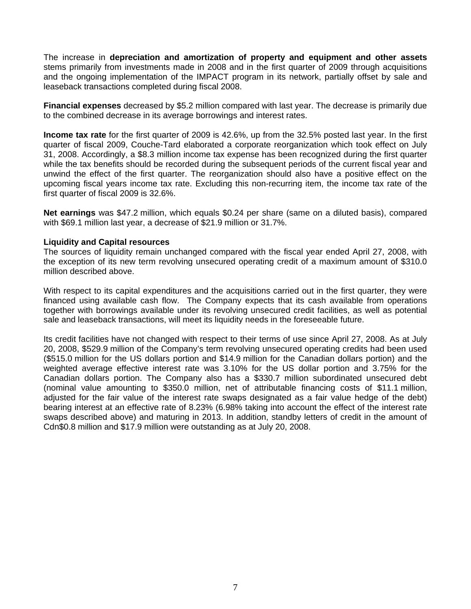The increase in **depreciation and amortization of property and equipment and other assets** stems primarily from investments made in 2008 and in the first quarter of 2009 through acquisitions and the ongoing implementation of the IMPACT program in its network, partially offset by sale and leaseback transactions completed during fiscal 2008.

**Financial expenses** decreased by \$5.2 million compared with last year. The decrease is primarily due to the combined decrease in its average borrowings and interest rates.

**Income tax rate** for the first quarter of 2009 is 42.6%, up from the 32.5% posted last year. In the first quarter of fiscal 2009, Couche-Tard elaborated a corporate reorganization which took effect on July 31, 2008. Accordingly, a \$8.3 million income tax expense has been recognized during the first quarter while the tax benefits should be recorded during the subsequent periods of the current fiscal year and unwind the effect of the first quarter. The reorganization should also have a positive effect on the upcoming fiscal years income tax rate. Excluding this non-recurring item, the income tax rate of the first quarter of fiscal 2009 is 32.6%.

**Net earnings** was \$47.2 million, which equals \$0.24 per share (same on a diluted basis), compared with \$69.1 million last year, a decrease of \$21.9 million or 31.7%.

## **Liquidity and Capital resources**

The sources of liquidity remain unchanged compared with the fiscal year ended April 27, 2008, with the exception of its new term revolving unsecured operating credit of a maximum amount of \$310.0 million described above.

With respect to its capital expenditures and the acquisitions carried out in the first quarter, they were financed using available cash flow. The Company expects that its cash available from operations together with borrowings available under its revolving unsecured credit facilities, as well as potential sale and leaseback transactions, will meet its liquidity needs in the foreseeable future.

Its credit facilities have not changed with respect to their terms of use since April 27, 2008. As at July 20, 2008, \$529.9 million of the Company's term revolving unsecured operating credits had been used (\$515.0 million for the US dollars portion and \$14.9 million for the Canadian dollars portion) and the weighted average effective interest rate was 3.10% for the US dollar portion and 3.75% for the Canadian dollars portion. The Company also has a \$330.7 million subordinated unsecured debt (nominal value amounting to \$350.0 million, net of attributable financing costs of \$11.1 million, adjusted for the fair value of the interest rate swaps designated as a fair value hedge of the debt) bearing interest at an effective rate of 8.23% (6.98% taking into account the effect of the interest rate swaps described above) and maturing in 2013. In addition, standby letters of credit in the amount of Cdn\$0.8 million and \$17.9 million were outstanding as at July 20, 2008.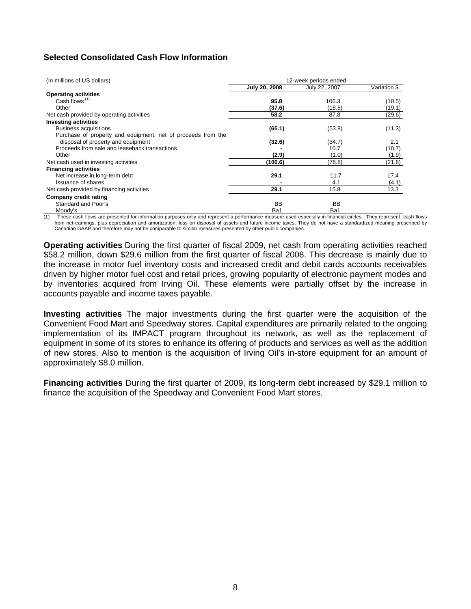## **Selected Consolidated Cash Flow Information**

| (In millions of US dollars)                                  | 12-week periods ended |               |              |
|--------------------------------------------------------------|-----------------------|---------------|--------------|
|                                                              | July 20, 2008         | July 22, 2007 | Variation \$ |
| <b>Operating activities</b>                                  |                       |               |              |
| Cash flows $(1)$                                             | 95.8                  | 106.3         | (10.5)       |
| Other                                                        | (37.6)                | (18.5)        | (19.1)       |
| Net cash provided by operating activities                    | 58.2                  | 87.8          | (29.6)       |
| <b>Investing activities</b>                                  |                       |               |              |
| <b>Business acquisitions</b>                                 | (65.1)                | (53.8)        | (11.3)       |
| Purchase of property and equipment, net of proceeds from the |                       |               |              |
| disposal of property and equipment                           | (32.6)                | (34.7)        | 2.1          |
| Proceeds from sale and leaseback transactions                |                       | 10.7          | (10.7)       |
| Other                                                        | (2.9)                 | (1.0)         | (1.9)        |
| Net cash used in investing activities                        | (100.6)               | (78.8)        | (21.8)       |
| <b>Financing activities</b>                                  |                       |               |              |
| Net increase in long-term debt                               | 29.1                  | 11.7          | 17.4         |
| Issuance of shares                                           |                       | 4.1           | (4.1)        |
| Net cash provided by financing activities                    | 29.1                  | 15.8          | 13.3         |
| Company credit rating                                        |                       |               |              |
| Standard and Poor's                                          | <b>BB</b>             | BB            |              |
| Moody's                                                      | Ba1                   | Ba1           |              |

(1) These cash flows are presented for information purposes only and represent a performance measure used especially in financial circles. They represent cash flows from net earnings, plus depreciation and amortization, loss on disposal of assets and future income taxes. They do not have a standardized meaning prescribed by Canadian GAAP and therefore may not be comparable to similar measures presented by other public companies.

**Operating activities** During the first quarter of fiscal 2009, net cash from operating activities reached \$58.2 million, down \$29.6 million from the first quarter of fiscal 2008. This decrease is mainly due to the increase in motor fuel inventory costs and increased credit and debit cards accounts receivables driven by higher motor fuel cost and retail prices, growing popularity of electronic payment modes and by inventories acquired from Irving Oil. These elements were partially offset by the increase in accounts payable and income taxes payable.

**Investing activities** The major investments during the first quarter were the acquisition of the Convenient Food Mart and Speedway stores. Capital expenditures are primarily related to the ongoing implementation of its IMPACT program throughout its network, as well as the replacement of equipment in some of its stores to enhance its offering of products and services as well as the addition of new stores. Also to mention is the acquisition of Irving Oil's in-store equipment for an amount of approximately \$8.0 million.

**Financing activities** During the first quarter of 2009, its long-term debt increased by \$29.1 million to finance the acquisition of the Speedway and Convenient Food Mart stores.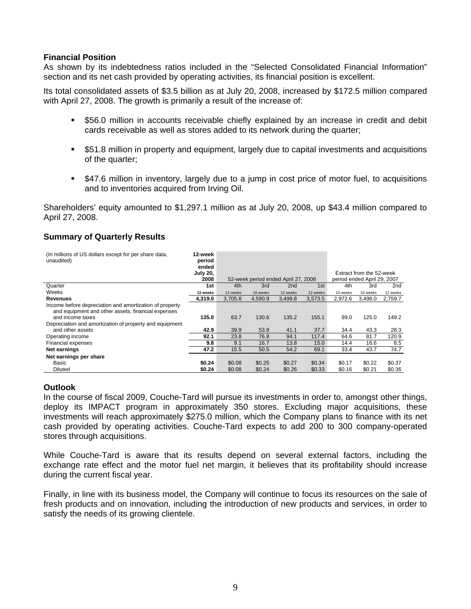## **Financial Position**

As shown by its indebtedness ratios included in the "Selected Consolidated Financial Information" section and its net cash provided by operating activities, its financial position is excellent.

Its total consolidated assets of \$3.5 billion as at July 20, 2008, increased by \$172.5 million compared with April 27, 2008. The growth is primarily a result of the increase of:

- \$56.0 million in accounts receivable chiefly explained by an increase in credit and debit cards receivable as well as stores added to its network during the quarter;
- \$51.8 million in property and equipment, largely due to capital investments and acquisitions of the quarter;
- \$47.6 million in inventory, largely due to a jump in cost price of motor fuel, to acquisitions and to inventories acquired from Irving Oil.

Shareholders' equity amounted to \$1,297.1 million as at July 20, 2008, up \$43.4 million compared to April 27, 2008.

## **Summary of Quarterly Results**

| (In millions of US dollars except for per share data,<br>unaudited)                                                               | 12-week<br>period |          |          |                                     |          |          |                             |                 |
|-----------------------------------------------------------------------------------------------------------------------------------|-------------------|----------|----------|-------------------------------------|----------|----------|-----------------------------|-----------------|
|                                                                                                                                   | ended             |          |          |                                     |          |          |                             |                 |
|                                                                                                                                   | <b>July 20.</b>   |          |          |                                     |          |          | Extract from the 52-week    |                 |
|                                                                                                                                   | 2008              |          |          | 52-week period ended April 27, 2008 |          |          | period ended April 29, 2007 |                 |
| Quarter                                                                                                                           | 1st               | 4th      | 3rd      | 2nd                                 | 1st      | 4th      | 3rd                         | 2 <sub>nd</sub> |
| Weeks                                                                                                                             | 12 weeks          | 12 weeks | 16 weeks | 12 weeks                            | 12 weeks | 13 weeks | 16 weeks                    | 12 weeks        |
| <b>Revenues</b>                                                                                                                   | 4.319.0           | 3,705.8  | 4,590.9  | 3,499.8                             | 3,573.5  | 2.972.6  | 3,498.0                     | 2,759.7         |
| Income before depreciation and amortization of property<br>and equipment and other assets, financial expenses<br>and income taxes | 135.0             | 63.7     | 130.6    | 135.2                               | 155.1    | 99.0     | 125.0                       | 149.2           |
| Depreciation and amortization of property and equipment<br>and other assets                                                       | 42.9              | 39.9     | 53.8     | 41.1                                | 37.7     | 34.4     | 43.3                        | 28.3            |
| Operating income                                                                                                                  | 92.1              | 23.8     | 76.8     | 94.1                                | 117.4    | 64.6     | 81.7                        | 120.9           |
| <b>Financial expenses</b>                                                                                                         | 9.8               | 9.1      | 16.7     | 13.8                                | 15.0     | 14.4     | 16.6                        | 8.5             |
| Net earnings                                                                                                                      | 47.2              | 15.5     | 50.5     | 54.2                                | 69.1     | 33.4     | 43.7                        | 74.7            |
| Net earnings per share                                                                                                            |                   |          |          |                                     |          |          |                             |                 |
| Basic                                                                                                                             | \$0.24            | \$0.08   | \$0.25   | \$0.27                              | \$0.34   | \$0.17   | \$0.22                      | \$0.37          |
| Diluted                                                                                                                           | \$0.24            | \$0.08   | \$0.24   | \$0.26                              | \$0.33   | \$0.16   | \$0.21                      | \$0.36          |

## **Outlook**

In the course of fiscal 2009, Couche-Tard will pursue its investments in order to, amongst other things, deploy its IMPACT program in approximately 350 stores. Excluding major acquisitions, these investments will reach approximately \$275.0 million, which the Company plans to finance with its net cash provided by operating activities. Couche-Tard expects to add 200 to 300 company-operated stores through acquisitions.

While Couche-Tard is aware that its results depend on several external factors, including the exchange rate effect and the motor fuel net margin, it believes that its profitability should increase during the current fiscal year.

Finally, in line with its business model, the Company will continue to focus its resources on the sale of fresh products and on innovation, including the introduction of new products and services, in order to satisfy the needs of its growing clientele.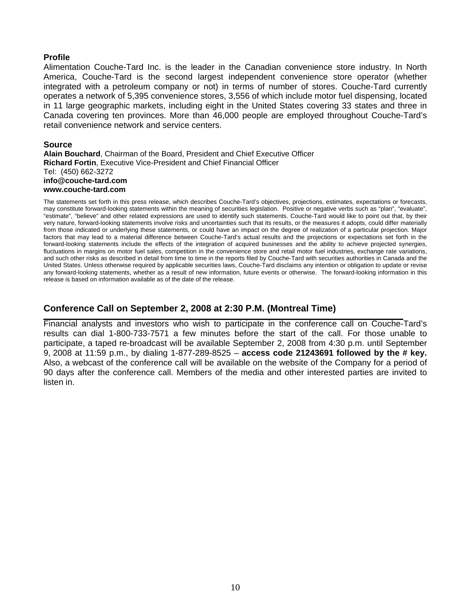## **Profile**

Alimentation Couche-Tard Inc. is the leader in the Canadian convenience store industry. In North America, Couche-Tard is the second largest independent convenience store operator (whether integrated with a petroleum company or not) in terms of number of stores. Couche-Tard currently operates a network of 5,395 convenience stores, 3,556 of which include motor fuel dispensing, located in 11 large geographic markets, including eight in the United States covering 33 states and three in Canada covering ten provinces. More than 46,000 people are employed throughout Couche-Tard's retail convenience network and service centers.

## **Source**

**Alain Bouchard**, Chairman of the Board, President and Chief Executive Officer **Richard Fortin**, Executive Vice-President and Chief Financial Officer Tel: (450) 662-3272 **info@couche-tard.com www.couche-tard.com** 

The statements set forth in this press release, which describes Couche-Tard's objectives, projections, estimates, expectations or forecasts, may constitute forward-looking statements within the meaning of securities legislation. Positive or negative verbs such as "plan", "evaluate", "estimate", "believe" and other related expressions are used to identify such statements. Couche-Tard would like to point out that, by their very nature, forward-looking statements involve risks and uncertainties such that its results, or the measures it adopts, could differ materially from those indicated or underlying these statements, or could have an impact on the degree of realization of a particular projection. Major factors that may lead to a material difference between Couche-Tard's actual results and the projections or expectations set forth in the forward-looking statements include the effects of the integration of acquired businesses and the ability to achieve projected synergies, fluctuations in margins on motor fuel sales, competition in the convenience store and retail motor fuel industries, exchange rate variations, and such other risks as described in detail from time to time in the reports filed by Couche-Tard with securities authorities in Canada and the United States. Unless otherwise required by applicable securities laws, Couche-Tard disclaims any intention or obligation to update or revise any forward-looking statements, whether as a result of new information, future events or otherwise. The forward-looking information in this release is based on information available as of the date of the release.

## **Conference Call on September 2, 2008 at 2:30 P.M. (Montreal Time)**

Financial analysts and investors who wish to participate in the conference call on Couche-Tard's results can dial 1-800-733-7571 a few minutes before the start of the call. For those unable to participate, a taped re-broadcast will be available September 2, 2008 from 4:30 p.m. until September 9, 2008 at 11:59 p.m., by dialing 1-877-289-8525 – **access code 21243691 followed by the # key.** Also, a webcast of the conference call will be available on the website of the Company for a period of 90 days after the conference call. Members of the media and other interested parties are invited to listen in.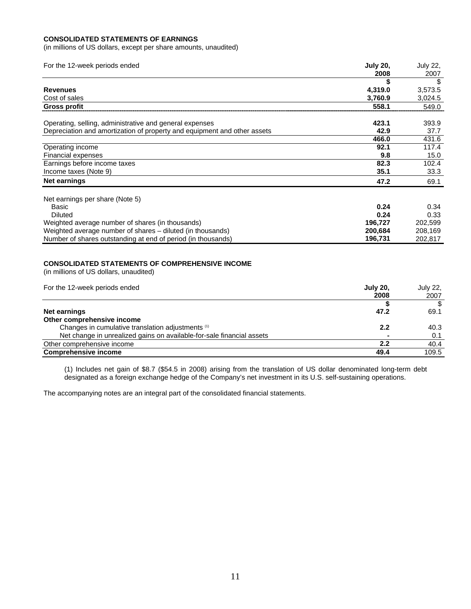### **CONSOLIDATED STATEMENTS OF EARNINGS**

(in millions of US dollars, except per share amounts, unaudited)

| For the 12-week periods ended                                            | <b>July 20,</b> | <b>July 22,</b> |
|--------------------------------------------------------------------------|-----------------|-----------------|
|                                                                          | 2008            | 2007            |
|                                                                          |                 | \$              |
| <b>Revenues</b>                                                          | 4,319.0         | 3,573.5         |
| Cost of sales                                                            | 3,760.9         | 3,024.5         |
| Gross profit                                                             | 558.1           | 549.0           |
| Operating, selling, administrative and general expenses                  | 423.1           | 393.9           |
| Depreciation and amortization of property and equipment and other assets | 42.9            | 37.7            |
|                                                                          | 466.0           | 431.6           |
| Operating income                                                         | 92.1            | 117.4           |
| <b>Financial expenses</b>                                                | 9.8             | 15.0            |
| Earnings before income taxes                                             | 82.3            | 102.4           |
| Income taxes (Note 9)                                                    | 35.1            | 33.3            |
| Net earnings                                                             | 47.2            | 69.1            |
| Net earnings per share (Note 5)                                          |                 |                 |
| Basic                                                                    | 0.24            | 0.34            |
| <b>Diluted</b>                                                           | 0.24            | 0.33            |
| Weighted average number of shares (in thousands)                         | 196,727         | 202,599         |
| Weighted average number of shares – diluted (in thousands)               | 200,684         | 208,169         |
| Number of shares outstanding at end of period (in thousands)             | 196,731         | 202,817         |
|                                                                          |                 |                 |

## **CONSOLIDATED STATEMENTS OF COMPREHENSIVE INCOME**

(in millions of US dollars, unaudited)

| For the 12-week periods ended                                         | <b>July 20,</b> | <b>July 22,</b> |
|-----------------------------------------------------------------------|-----------------|-----------------|
|                                                                       | 2008            | 2007            |
|                                                                       |                 |                 |
| Net earnings                                                          | 47.2            | 69.1            |
| Other comprehensive income                                            |                 |                 |
| Changes in cumulative translation adjustments <sup>(1)</sup>          | 2.2             | 40.3            |
| Net change in unrealized gains on available-for-sale financial assets |                 | 0.1             |
| Other comprehensive income                                            | 2.2             | 40.4            |
| <b>Comprehensive income</b>                                           | 49.4            | 109.5           |

(1) Includes net gain of \$8.7 (\$54.5 in 2008) arising from the translation of US dollar denominated long-term debt designated as a foreign exchange hedge of the Company's net investment in its U.S. self-sustaining operations.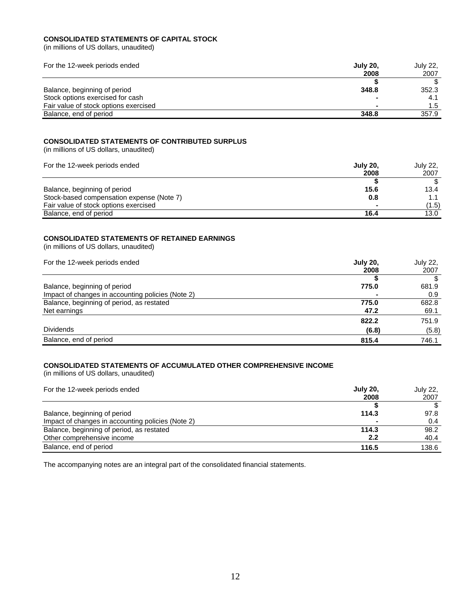### **CONSOLIDATED STATEMENTS OF CAPITAL STOCK**

(in millions of US dollars, unaudited)

| For the 12-week periods ended         | <b>July 20,</b> | July 22, |
|---------------------------------------|-----------------|----------|
|                                       | 2008            | 2007     |
|                                       |                 | \$       |
| Balance, beginning of period          | 348.8           | 352.3    |
| Stock options exercised for cash      |                 | 4.1      |
| Fair value of stock options exercised |                 | 1.5      |
| Balance, end of period                | 348.8           | 357.9    |

## **CONSOLIDATED STATEMENTS OF CONTRIBUTED SURPLUS**

(in millions of US dollars, unaudited)

| For the 12-week periods ended             | <b>July 20,</b> | July 22, |
|-------------------------------------------|-----------------|----------|
|                                           | 2008            | 2007     |
|                                           |                 |          |
| Balance, beginning of period              | 15.6            | 13.4     |
| Stock-based compensation expense (Note 7) | 0.8             | 1.1      |
| Fair value of stock options exercised     | $\blacksquare$  | (1.5)    |
| Balance, end of period                    | 16.4            | 13.0     |

## **CONSOLIDATED STATEMENTS OF RETAINED EARNINGS**

(in millions of US dollars, unaudited)

| <b>July 20,</b><br>For the 12-week periods ended   | <b>July 22.</b> |
|----------------------------------------------------|-----------------|
| 2008                                               | 2007            |
|                                                    | \$.             |
| 775.0<br>Balance, beginning of period              | 681.9           |
| Impact of changes in accounting policies (Note 2)  | 0.9             |
| Balance, beginning of period, as restated<br>775.0 | 682.8           |
| Net earnings<br>47.2                               | 69.1            |
| 822.2                                              | 751.9           |
| <b>Dividends</b><br>(6.8)                          | (5.8)           |
| Balance, end of period<br>815.4                    | 746.1           |

### **CONSOLIDATED STATEMENTS OF ACCUMULATED OTHER COMPREHENSIVE INCOME**

(in millions of US dollars, unaudited)

| For the 12-week periods ended                     | <b>July 20,</b><br>2008 | July 22,<br>2007 |
|---------------------------------------------------|-------------------------|------------------|
|                                                   |                         | \$.              |
| Balance, beginning of period                      | 114.3                   | 97.8             |
| Impact of changes in accounting policies (Note 2) |                         | 0.4              |
| Balance, beginning of period, as restated         | 114.3                   | 98.2             |
| Other comprehensive income                        | 2.2                     | 40.4             |
| Balance, end of period                            | 116.5                   | 138.6            |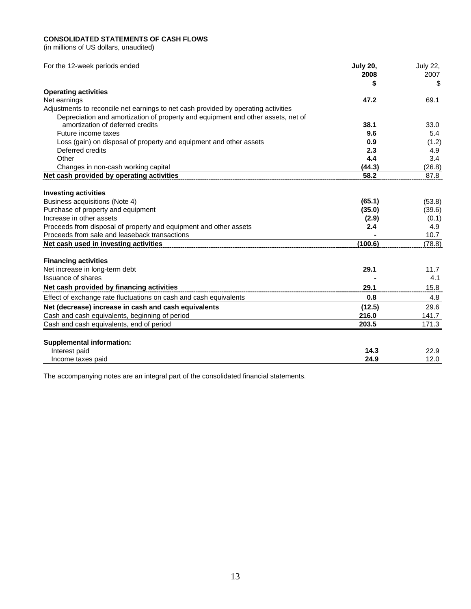## **CONSOLIDATED STATEMENTS OF CASH FLOWS**

(in millions of US dollars, unaudited)

| For the 12-week periods ended                                                      | <b>July 20,</b><br>2008 | <b>July 22,</b><br>2007 |
|------------------------------------------------------------------------------------|-------------------------|-------------------------|
|                                                                                    | \$                      | \$                      |
| <b>Operating activities</b>                                                        |                         |                         |
| Net earnings                                                                       | 47.2                    | 69.1                    |
| Adjustments to reconcile net earnings to net cash provided by operating activities |                         |                         |
| Depreciation and amortization of property and equipment and other assets, net of   |                         |                         |
| amortization of deferred credits                                                   | 38.1                    | 33.0                    |
| Future income taxes                                                                | 9.6                     | 5.4                     |
| Loss (gain) on disposal of property and equipment and other assets                 | 0.9                     | (1.2)                   |
| Deferred credits                                                                   | 2.3                     | 4.9                     |
| Other                                                                              | 4.4                     | 3.4                     |
| Changes in non-cash working capital                                                | (44.3)                  | (26.8)                  |
| Net cash provided by operating activities                                          | 58.2                    | 87.8                    |
| <b>Investing activities</b>                                                        |                         |                         |
| Business acquisitions (Note 4)                                                     | (65.1)                  | (53.8)                  |
| Purchase of property and equipment                                                 | (35.0)                  | (39.6)                  |
| Increase in other assets                                                           | (2.9)                   | (0.1)                   |
| Proceeds from disposal of property and equipment and other assets                  | 2.4                     | 4.9                     |
| Proceeds from sale and leaseback transactions                                      |                         | 10.7                    |
| Net cash used in investing activities                                              | (100.6)                 | (78.8)                  |
| <b>Financing activities</b>                                                        |                         |                         |
| Net increase in long-term debt                                                     | 29.1                    | 11.7                    |
| <b>Issuance of shares</b>                                                          |                         | 4.1                     |
| Net cash provided by financing activities                                          | 29.1                    | 15.8                    |
| Effect of exchange rate fluctuations on cash and cash equivalents                  | 0.8                     | 4.8                     |
| Net (decrease) increase in cash and cash equivalents                               | (12.5)                  | 29.6                    |
| Cash and cash equivalents, beginning of period                                     | 216.0                   | 141.7                   |
| Cash and cash equivalents, end of period                                           | 203.5                   | 171.3                   |
|                                                                                    |                         |                         |
| <b>Supplemental information:</b><br>Interest paid                                  | 14.3                    | 22.9                    |
| Income taxes paid                                                                  | 24.9                    | 12.0                    |
|                                                                                    |                         |                         |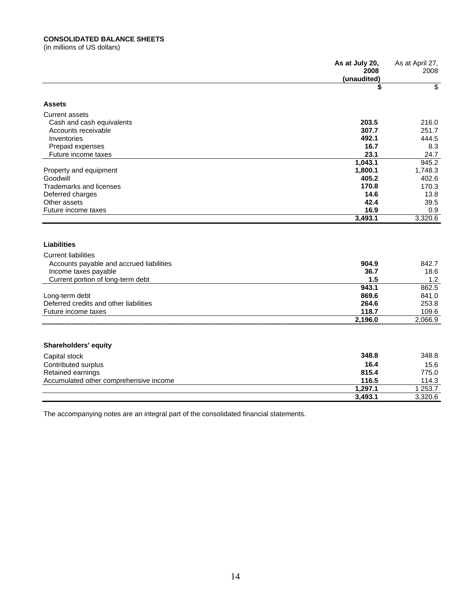## **CONSOLIDATED BALANCE SHEETS**

(in millions of US dollars)

|                                                  | As at July 20, | As at April 27, |
|--------------------------------------------------|----------------|-----------------|
|                                                  | 2008           | 2008            |
|                                                  | (unaudited)    |                 |
|                                                  | \$             | \$              |
| <b>Assets</b>                                    |                |                 |
|                                                  |                |                 |
| <b>Current assets</b>                            | 203.5          | 216.0           |
| Cash and cash equivalents<br>Accounts receivable | 307.7          | 251.7           |
| Inventories                                      | 492.1          | 444.5           |
| Prepaid expenses                                 | 16.7           | 8.3             |
| Future income taxes                              | 23.1           | 24.7            |
|                                                  | 1,043.1        | 945.2           |
| Property and equipment                           | 1,800.1        | 1,748.3         |
| Goodwill                                         | 405.2          | 402.6           |
| <b>Trademarks and licenses</b>                   | 170.8          | 170.3           |
| Deferred charges                                 | 14.6           | 13.8            |
| Other assets                                     | 42.4           | 39.5            |
| Future income taxes                              | 16.9           | 0.9             |
|                                                  | 3,493.1        | 3,320.6         |
|                                                  |                |                 |
|                                                  |                |                 |
| <b>Liabilities</b>                               |                |                 |
| <b>Current liabilities</b>                       |                |                 |
| Accounts payable and accrued liabilities         | 904.9          | 842.7           |
| Income taxes payable                             | 36.7           | 18.6            |
| Current portion of long-term debt                | 1.5            | 1.2             |
|                                                  | 943.1          | 862.5           |
| Long-term debt                                   | 869.6          | 841.0           |
| Deferred credits and other liabilities           | 264.6          | 253.8           |
| Future income taxes                              | 118.7          | 109.6           |
|                                                  | 2,196.0        | 2,066.9         |
|                                                  |                |                 |
| <b>Shareholders' equity</b>                      |                |                 |
| Capital stock                                    | 348.8          | 348.8           |
| Contributed surplus                              | 16.4           | 15.6            |
| Retained earnings                                | 815.4          | 775.0           |
| Accumulated other comprehensive income           | 116.5          | 114.3           |
|                                                  | 1,297.1        | 1 253.7         |
|                                                  | 3,493.1        | 3,320.6         |
|                                                  |                |                 |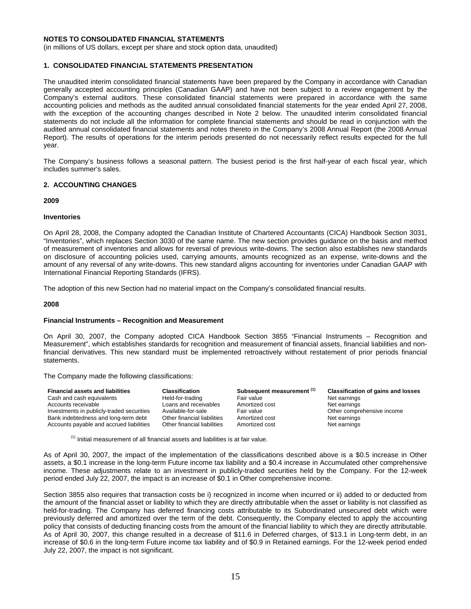(in millions of US dollars, except per share and stock option data, unaudited)

### **1. CONSOLIDATED FINANCIAL STATEMENTS PRESENTATION**

The unaudited interim consolidated financial statements have been prepared by the Company in accordance with Canadian generally accepted accounting principles (Canadian GAAP) and have not been subject to a review engagement by the Company's external auditors. These consolidated financial statements were prepared in accordance with the same accounting policies and methods as the audited annual consolidated financial statements for the year ended April 27, 2008, with the exception of the accounting changes described in Note 2 below. The unaudited interim consolidated financial statements do not include all the information for complete financial statements and should be read in conjunction with the audited annual consolidated financial statements and notes thereto in the Company's 2008 Annual Report (the 2008 Annual Report). The results of operations for the interim periods presented do not necessarily reflect results expected for the full year.

The Company's business follows a seasonal pattern. The busiest period is the first half-year of each fiscal year, which includes summer's sales.

#### **2. ACCOUNTING CHANGES**

#### **2009**

#### **Inventories**

On April 28, 2008, the Company adopted the Canadian Institute of Chartered Accountants (CICA) Handbook Section 3031, "Inventories", which replaces Section 3030 of the same name. The new section provides guidance on the basis and method of measurement of inventories and allows for reversal of previous write-downs. The section also establishes new standards on disclosure of accounting policies used, carrying amounts, amounts recognized as an expense, write-downs and the amount of any reversal of any write-downs. This new standard aligns accounting for inventories under Canadian GAAP with International Financial Reporting Standards (IFRS).

The adoption of this new Section had no material impact on the Company's consolidated financial results.

#### **2008**

#### **Financial Instruments – Recognition and Measurement**

On April 30, 2007, the Company adopted CICA Handbook Section 3855 "Financial Instruments – Recognition and Measurement", which establishes standards for recognition and measurement of financial assets, financial liabilities and nonfinancial derivatives. This new standard must be implemented retroactively without restatement of prior periods financial statements.

The Company made the following classifications:

| <b>Financial assets and liabilities</b>   | <b>Classification</b>       | Subsequent measurement (1) | <b>Classification of gains and losses</b> |
|-------------------------------------------|-----------------------------|----------------------------|-------------------------------------------|
| Cash and cash equivalents                 | Held-for-trading            | Fair value                 | Net earnings                              |
| Accounts receivable                       | Loans and receivables       | Amortized cost             | Net earnings                              |
| Investments in publicly-traded securities | Available-for-sale          | Fair value                 | Other comprehensive income                |
| Bank indebtedness and long-term debt      | Other financial liabilities | Amortized cost             | Net earnings                              |
| Accounts payable and accrued liabilities  | Other financial liabilities | Amortized cost             | Net earnings                              |

 $<sup>(1)</sup>$  Initial measurement of all financial assets and liabilities is at fair value.</sup>

As of April 30, 2007, the impact of the implementation of the classifications described above is a \$0.5 increase in Other assets, a \$0.1 increase in the long-term Future income tax liability and a \$0.4 increase in Accumulated other comprehensive income. These adjustments relate to an investment in publicly-traded securities held by the Company. For the 12-week period ended July 22, 2007, the impact is an increase of \$0.1 in Other comprehensive income.

Section 3855 also requires that transaction costs be i) recognized in income when incurred or ii) added to or deducted from the amount of the financial asset or liability to which they are directly attributable when the asset or liability is not classified as held-for-trading. The Company has deferred financing costs attributable to its Subordinated unsecured debt which were previously deferred and amortized over the term of the debt. Consequently, the Company elected to apply the accounting policy that consists of deducting financing costs from the amount of the financial liability to which they are directly attributable. As of April 30, 2007, this change resulted in a decrease of \$11.6 in Deferred charges, of \$13.1 in Long-term debt, in an increase of \$0.6 in the long-term Future income tax liability and of \$0.9 in Retained earnings. For the 12-week period ended July 22, 2007, the impact is not significant.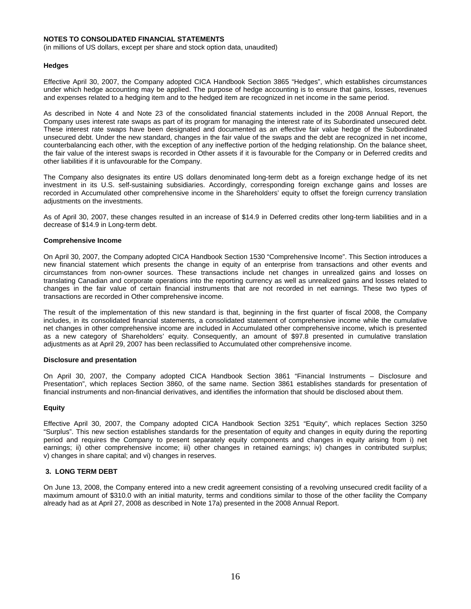(in millions of US dollars, except per share and stock option data, unaudited)

#### **Hedges**

Effective April 30, 2007, the Company adopted CICA Handbook Section 3865 "Hedges", which establishes circumstances under which hedge accounting may be applied. The purpose of hedge accounting is to ensure that gains, losses, revenues and expenses related to a hedging item and to the hedged item are recognized in net income in the same period.

As described in Note 4 and Note 23 of the consolidated financial statements included in the 2008 Annual Report, the Company uses interest rate swaps as part of its program for managing the interest rate of its Subordinated unsecured debt. These interest rate swaps have been designated and documented as an effective fair value hedge of the Subordinated unsecured debt. Under the new standard, changes in the fair value of the swaps and the debt are recognized in net income, counterbalancing each other, with the exception of any ineffective portion of the hedging relationship. On the balance sheet, the fair value of the interest swaps is recorded in Other assets if it is favourable for the Company or in Deferred credits and other liabilities if it is unfavourable for the Company.

The Company also designates its entire US dollars denominated long-term debt as a foreign exchange hedge of its net investment in its U.S. self-sustaining subsidiaries. Accordingly, corresponding foreign exchange gains and losses are recorded in Accumulated other comprehensive income in the Shareholders' equity to offset the foreign currency translation adjustments on the investments.

As of April 30, 2007, these changes resulted in an increase of \$14.9 in Deferred credits other long-term liabilities and in a decrease of \$14.9 in Long-term debt.

#### **Comprehensive Income**

On April 30, 2007, the Company adopted CICA Handbook Section 1530 "Comprehensive Income". This Section introduces a new financial statement which presents the change in equity of an enterprise from transactions and other events and circumstances from non-owner sources. These transactions include net changes in unrealized gains and losses on translating Canadian and corporate operations into the reporting currency as well as unrealized gains and losses related to changes in the fair value of certain financial instruments that are not recorded in net earnings. These two types of transactions are recorded in Other comprehensive income.

The result of the implementation of this new standard is that, beginning in the first quarter of fiscal 2008, the Company includes, in its consolidated financial statements, a consolidated statement of comprehensive income while the cumulative net changes in other comprehensive income are included in Accumulated other comprehensive income, which is presented as a new category of Shareholders' equity. Consequently, an amount of \$97.8 presented in cumulative translation adjustments as at April 29, 2007 has been reclassified to Accumulated other comprehensive income.

#### **Disclosure and presentation**

On April 30, 2007, the Company adopted CICA Handbook Section 3861 "Financial Instruments – Disclosure and Presentation", which replaces Section 3860, of the same name. Section 3861 establishes standards for presentation of financial instruments and non-financial derivatives, and identifies the information that should be disclosed about them.

### **Equity**

Effective April 30, 2007, the Company adopted CICA Handbook Section 3251 "Equity", which replaces Section 3250 "Surplus". This new section establishes standards for the presentation of equity and changes in equity during the reporting period and requires the Company to present separately equity components and changes in equity arising from i) net earnings; ii) other comprehensive income; iii) other changes in retained earnings; iv) changes in contributed surplus; v) changes in share capital; and vi) changes in reserves.

### **3. LONG TERM DEBT**

On June 13, 2008, the Company entered into a new credit agreement consisting of a revolving unsecured credit facility of a maximum amount of \$310.0 with an initial maturity, terms and conditions similar to those of the other facility the Company already had as at April 27, 2008 as described in Note 17a) presented in the 2008 Annual Report.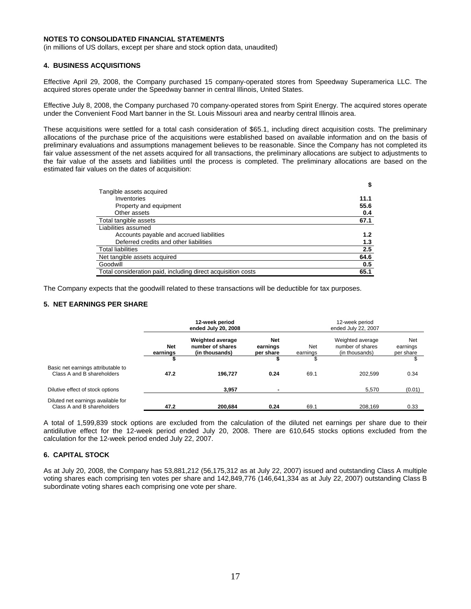(in millions of US dollars, except per share and stock option data, unaudited)

### **4. BUSINESS ACQUISITIONS**

Effective April 29, 2008, the Company purchased 15 company-operated stores from Speedway Superamerica LLC. The acquired stores operate under the Speedway banner in central Illinois, United States.

Effective July 8, 2008, the Company purchased 70 company-operated stores from Spirit Energy. The acquired stores operate under the Convenient Food Mart banner in the St. Louis Missouri area and nearby central Illinois area.

These acquisitions were settled for a total cash consideration of \$65.1, including direct acquisition costs. The preliminary allocations of the purchase price of the acquisitions were established based on available information and on the basis of preliminary evaluations and assumptions management believes to be reasonable. Since the Company has not completed its fair value assessment of the net assets acquired for all transactions, the preliminary allocations are subject to adjustments to the fair value of the assets and liabilities until the process is completed. The preliminary allocations are based on the estimated fair values on the dates of acquisition:

|                                                              | \$   |
|--------------------------------------------------------------|------|
| Tangible assets acquired                                     |      |
| Inventories                                                  | 11.1 |
| Property and equipment                                       | 55.6 |
| Other assets                                                 | 0.4  |
| Total tangible assets                                        | 67.1 |
| Liabilities assumed                                          |      |
| Accounts payable and accrued liabilities                     | 1.2  |
| Deferred credits and other liabilities                       | 1.3  |
| <b>Total liabilities</b>                                     | 2.5  |
| Net tangible assets acquired                                 | 64.6 |
| Goodwill                                                     | 0.5  |
| Total consideration paid, including direct acquisition costs | 65.1 |
|                                                              |      |

The Company expects that the goodwill related to these transactions will be deductible for tax purposes.

### **5. NET EARNINGS PER SHARE**

|                                                                  | 12-week period<br>ended July 20, 2008 |                                                        |                                     | 12-week period<br>ended July 22, 2007 |                                                        |                              |
|------------------------------------------------------------------|---------------------------------------|--------------------------------------------------------|-------------------------------------|---------------------------------------|--------------------------------------------------------|------------------------------|
|                                                                  | <b>Net</b><br>earnings                | Weighted average<br>number of shares<br>(in thousands) | <b>Net</b><br>earnings<br>per share | Net<br>earnings                       | Weighted average<br>number of shares<br>(in thousands) | Net<br>earnings<br>per share |
|                                                                  |                                       |                                                        |                                     |                                       |                                                        |                              |
| Basic net earnings attributable to<br>Class A and B shareholders | 47.2                                  | 196.727                                                | 0.24                                | 69.1                                  | 202.599                                                | 0.34                         |
| Dilutive effect of stock options                                 |                                       | 3.957                                                  |                                     |                                       | 5.570                                                  | (0.01)                       |
| Diluted net earnings available for<br>Class A and B shareholders | 47.2                                  | 200.684                                                | 0.24                                | 69.1                                  | 208.169                                                | 0.33                         |

A total of 1,599,839 stock options are excluded from the calculation of the diluted net earnings per share due to their antidilutive effect for the 12-week period ended July 20, 2008. There are 610,645 stocks options excluded from the calculation for the 12-week period ended July 22, 2007.

### **6. CAPITAL STOCK**

As at July 20, 2008, the Company has 53,881,212 (56,175,312 as at July 22, 2007) issued and outstanding Class A multiple voting shares each comprising ten votes per share and 142,849,776 (146,641,334 as at July 22, 2007) outstanding Class B subordinate voting shares each comprising one vote per share.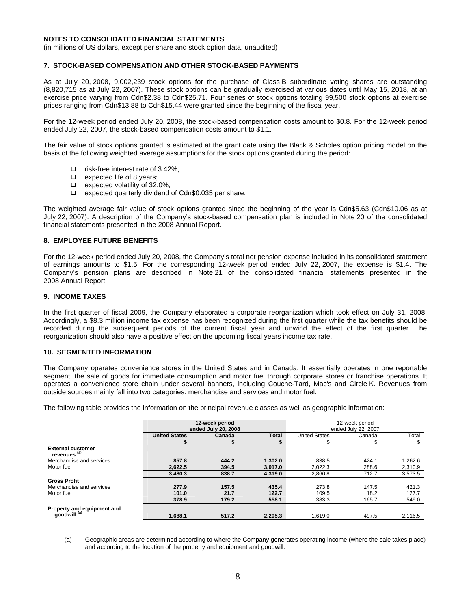(in millions of US dollars, except per share and stock option data, unaudited)

### **7. STOCK-BASED COMPENSATION AND OTHER STOCK-BASED PAYMENTS**

As at July 20, 2008, 9,002,239 stock options for the purchase of Class B subordinate voting shares are outstanding (8,820,715 as at July 22, 2007). These stock options can be gradually exercised at various dates until May 15, 2018, at an exercise price varying from Cdn\$2.38 to Cdn\$25.71. Four series of stock options totaling 99,500 stock options at exercise prices ranging from Cdn\$13.88 to Cdn\$15.44 were granted since the beginning of the fiscal year.

For the 12-week period ended July 20, 2008, the stock-based compensation costs amount to \$0.8. For the 12-week period ended July 22, 2007, the stock-based compensation costs amount to \$1.1.

The fair value of stock options granted is estimated at the grant date using the Black & Scholes option pricing model on the basis of the following weighted average assumptions for the stock options granted during the period:

- □ risk-free interest rate of 3.42%;
- $\Box$  expected life of 8 years;
- □ expected volatility of 32.0%:
- □ expected quarterly dividend of Cdn\$0.035 per share.

The weighted average fair value of stock options granted since the beginning of the year is Cdn\$5.63 (Cdn\$10.06 as at July 22, 2007). A description of the Company's stock-based compensation plan is included in Note 20 of the consolidated financial statements presented in the 2008 Annual Report.

### **8. EMPLOYEE FUTURE BENEFITS**

For the 12-week period ended July 20, 2008, the Company's total net pension expense included in its consolidated statement of earnings amounts to \$1.5. For the corresponding 12-week period ended July 22, 2007, the expense is \$1.4. The Company's pension plans are described in Note 21 of the consolidated financial statements presented in the 2008 Annual Report.

### **9. INCOME TAXES**

In the first quarter of fiscal 2009, the Company elaborated a corporate reorganization which took effect on July 31, 2008. Accordingly, a \$8.3 million income tax expense has been recognized during the first quarter while the tax benefits should be recorded during the subsequent periods of the current fiscal year and unwind the effect of the first quarter. The reorganization should also have a positive effect on the upcoming fiscal years income tax rate.

#### **10. SEGMENTED INFORMATION**

The Company operates convenience stores in the United States and in Canada. It essentially operates in one reportable segment, the sale of goods for immediate consumption and motor fuel through corporate stores or franchise operations. It operates a convenience store chain under several banners, including Couche-Tard, Mac's and Circle K. Revenues from outside sources mainly fall into two categories: merchandise and services and motor fuel.

The following table provides the information on the principal revenue classes as well as geographic information:

|                                            | 12-week period<br>ended July 20, 2008 |        | 12-week period<br>ended July 22, 2007 |                      |        |         |
|--------------------------------------------|---------------------------------------|--------|---------------------------------------|----------------------|--------|---------|
|                                            | <b>United States</b>                  | Canada | Total                                 | <b>United States</b> | Canada | Total   |
|                                            |                                       | \$     | \$                                    | \$                   | ъ      | \$      |
| <b>External customer</b><br>revenues (a)   |                                       |        |                                       |                      |        |         |
| Merchandise and services                   | 857.8                                 | 444.2  | 1.302.0                               | 838.5                | 424.1  | 1.262.6 |
| Motor fuel                                 | 2,622.5                               | 394.5  | 3,017.0                               | 2,022.3              | 288.6  | 2,310.9 |
|                                            | 3.480.3                               | 838.7  | 4.319.0                               | 2.860.8              | 712.7  | 3.573.5 |
| <b>Gross Profit</b>                        |                                       |        |                                       |                      |        |         |
| Merchandise and services                   | 277.9                                 | 157.5  | 435.4                                 | 273.8                | 147.5  | 421.3   |
| Motor fuel                                 | 101.0                                 | 21.7   | 122.7                                 | 109.5                | 18.2   | 127.7   |
|                                            | 378.9                                 | 179.2  | 558.1                                 | 383.3                | 165.7  | 549.0   |
| Property and equipment and<br>goodwill (a) |                                       |        |                                       |                      |        |         |
|                                            | 1.688.1                               | 517.2  | 2,205.3                               | 1.619.0              | 497.5  | 2,116.5 |

(a) Geographic areas are determined according to where the Company generates operating income (where the sale takes place) and according to the location of the property and equipment and goodwill.